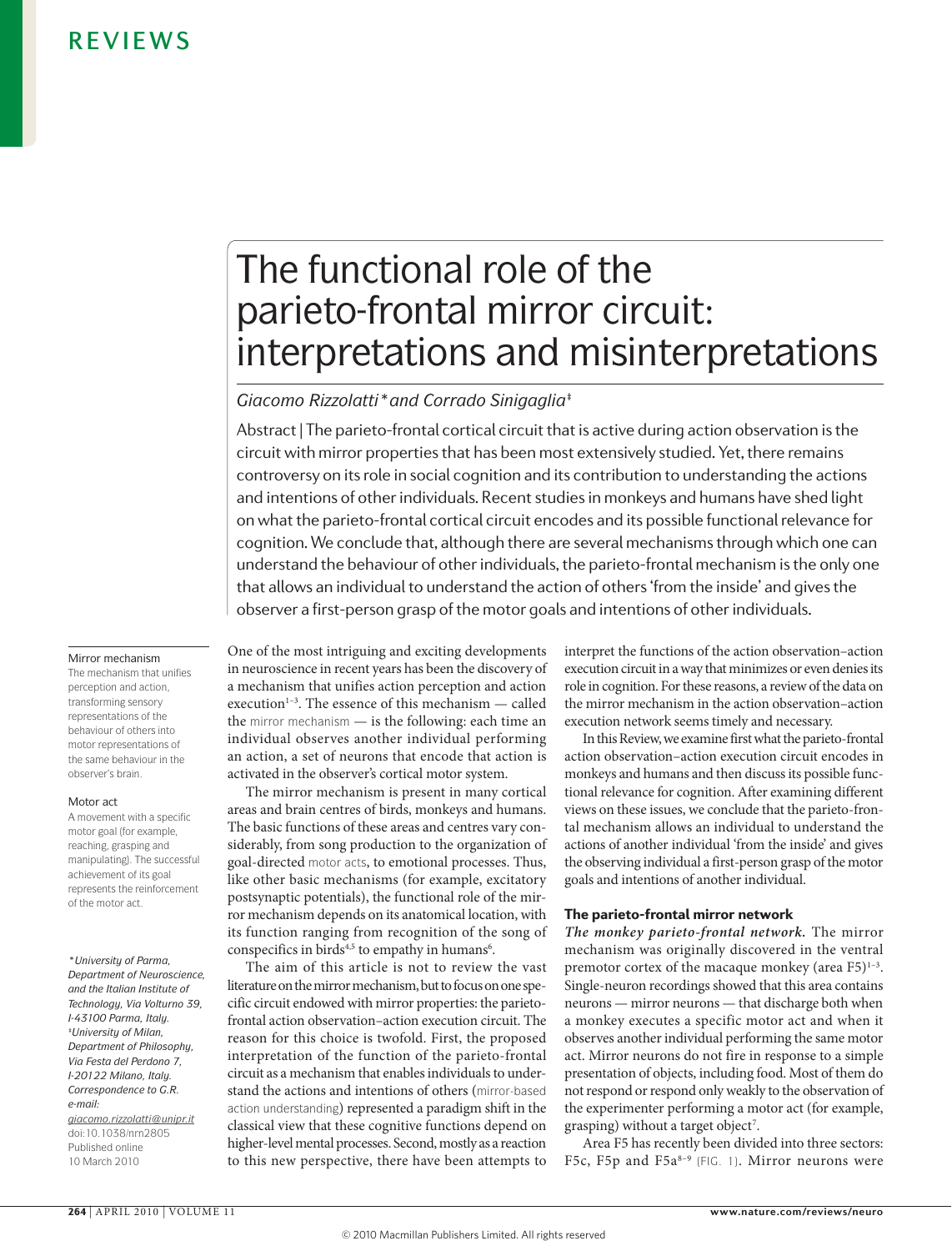# The functional role of the parieto-frontal mirror circuit: interpretations and misinterpretations

## *Giacomo Rizzolatti\*and Corrado Sinigaglia‡*

Abstract | The parieto-frontal cortical circuit that is active during action observation is the circuit with mirror properties that has been most extensively studied. Yet, there remains controversy on its role in social cognition and its contribution to understanding the actions and intentions of other individuals. Recent studies in monkeys and humans have shed light on what the parieto-frontal cortical circuit encodes and its possible functional relevance for cognition. We conclude that, although there are several mechanisms through which one can understand the behaviour of other individuals, the parieto-frontal mechanism is the only one that allows an individual to understand the action of others 'from the inside' and gives the observer a first-person grasp of the motor goals and intentions of other individuals.

#### Mirror mechanism

The mechanism that unifies perception and action, transforming sensory representations of the behaviour of others into motor representations of the same behaviour in the observer's brain.

#### Motor act

A movement with a specific motor goal (for example, reaching, grasping and manipulating). The successful achievement of its goal represents the reinforcement of the motor act.

*\*University of Parma, Department of Neuroscience, and the Italian Institute of Technology, Via Volturno 39, I‑43100 Parma, Italy. ‡University of Milan, Department of Philosophy, Via Festa del Perdono 7, I‑20122 Milano, Italy. Correspondence to G.R. e‑mail: giacomo.rizzolatti@unipr.it* doi:10.1038/nrn2805 Published online 10 March 2010

One of the most intriguing and exciting developments in neuroscience in recent years has been the discovery of a mechanism that unifies action perception and action execution $1-3$ . The essence of this mechanism  $-$  called the mirror mechanism — is the following: each time an individual observes another individual performing an action, a set of neurons that encode that action is activated in the observer's cortical motor system.

The mirror mechanism is present in many cortical areas and brain centres of birds, monkeys and humans. The basic functions of these areas and centres vary considerably, from song production to the organization of goal-directed motor acts, to emotional processes. Thus, like other basic mechanisms (for example, excitatory postsynaptic potentials), the functional role of the mirror mechanism depends on its anatomical location, with its function ranging from recognition of the song of conspecifics in birds $4,5$  to empathy in humans $6$ .

The aim of this article is not to review the vast literature on the mirror mechanism, but to focus on one specific circuit endowed with mirror properties: the parietofrontal action observation–action execution circuit. The reason for this choice is twofold. First, the proposed interpretation of the function of the parieto-frontal circuit as a mechanism that enables individuals to understand the actions and intentions of others (mirror-based action understanding) represented a paradigm shift in the classical view that these cognitive functions depend on higher-level mental processes. Second, mostly as a reaction to this new perspective, there have been attempts to interpret the functions of the action observation–action execution circuit in a way that minimizes or even denies its role in cognition. For these reasons, a review of the data on the mirror mechanism in the action observation–action execution network seems timely and necessary.

In this Review, we examine first what the parieto-frontal action observation–action execution circuit encodes in monkeys and humans and then discuss its possible functional relevance for cognition. After examining different views on these issues, we conclude that the parieto-frontal mechanism allows an individual to understand the actions of another individual 'from the inside' and gives the observing individual a first-person grasp of the motor goals and intentions of another individual.

### The parieto-frontal mirror network

*The monkey parieto-frontal network.* The mirror mechanism was originally discovered in the ventral premotor cortex of the macaque monkey (area  $F5)^{1-3}$ . Single-neuron recordings showed that this area contains neurons — mirror neurons — that discharge both when a monkey executes a specific motor act and when it observes another individual performing the same motor act. Mirror neurons do not fire in response to a simple presentation of objects, including food. Most of them do not respond or respond only weakly to the observation of the experimenter performing a motor act (for example, grasping) without a target object<sup>7</sup>.

Area F5 has recently been divided into three sectors: F5c, F5p and F5a<sup>8-9</sup> (FIG. 1). Mirror neurons were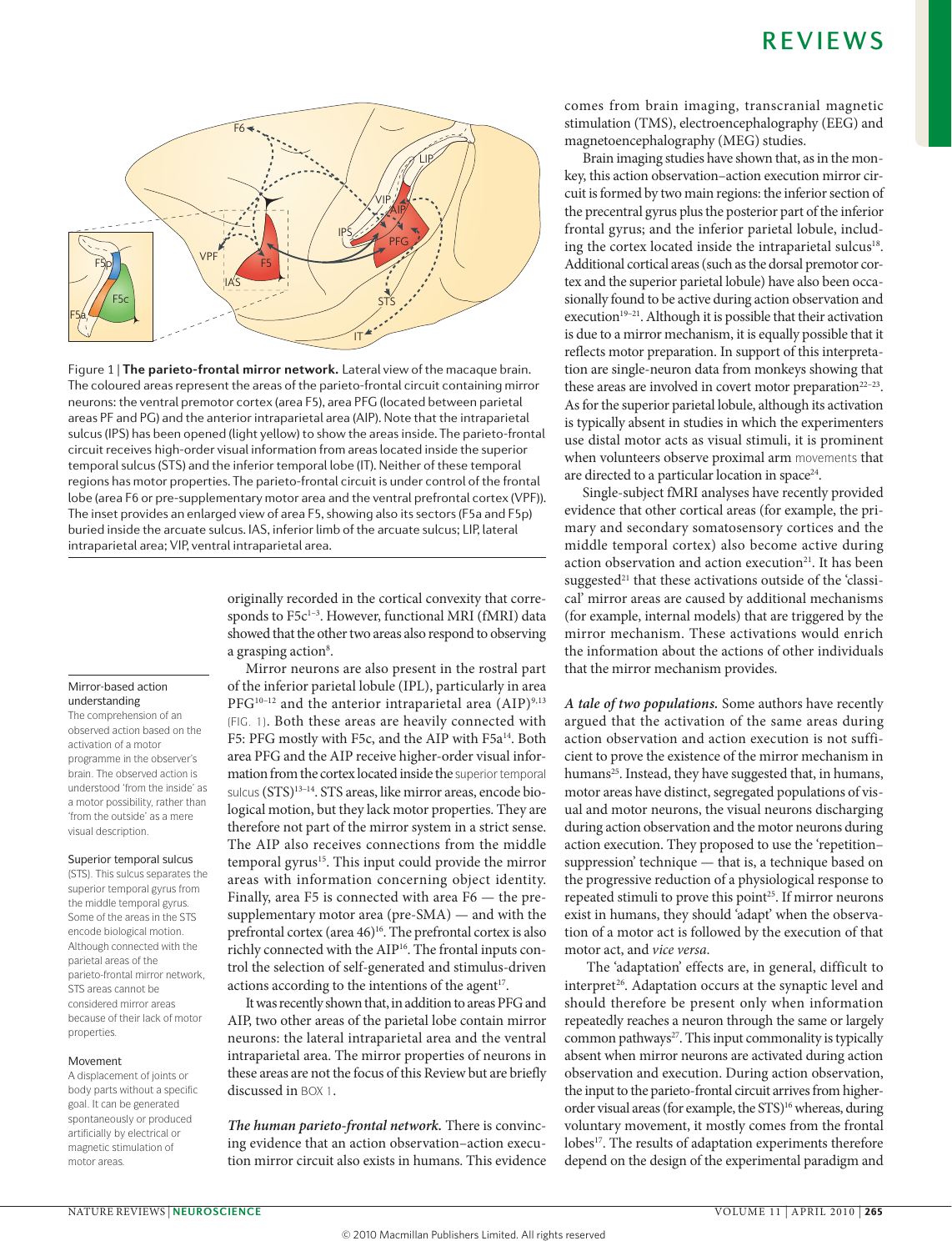

The coloured areas represent the areas of the parieto-frontal circuit containing mirror Figure 1 | **The parieto-frontal mirror network.** Lateral view of the macaque brain. neurons: the ventral premotor cortex (area F5), area PFG (located between parietal areas PF and PG) and the anterior intraparietal area (AIP). Note that the intraparietal sulcus (IPS) has been opened (light yellow) to show the areas inside. The parieto-frontal circuit receives high-order visual information from areas located inside the superior temporal sulcus (STS) and the inferior temporal lobe (IT). Neither of these temporal regions has motor properties. The parieto-frontal circuit is under control of the frontal lobe (area F6 or pre-supplementary motor area and the ventral prefrontal cortex (VPF)). The inset provides an enlarged view of area F5, showing also its sectors (F5a and F5p) buried inside the arcuate sulcus. IAS, inferior limb of the arcuate sulcus; LIP, lateral intraparietal area; VIP, ventral intraparietal area.

originally recorded in the cortical convexity that corresponds to F5c<sup>1-3</sup>. However, functional MRI (fMRI) data showed that the other two areas also respond to observing a grasping action<sup>8</sup>.

Mirror neurons are also present in the rostral part of the inferior parietal lobule (Ipl), particularly in area PFG<sup>10-12</sup> and the anterior intraparietal area (AIP)<sup>9,13</sup> (FIG. 1). Both these areas are heavily connected with F5: PFG mostly with F5c, and the AIP with F5a<sup>14</sup>. Both area pFG and the AIp receive higher-order visual information from the cortex located inside the superior temporal sulcus (STS)<sup>13-14</sup>. STS areas, like mirror areas, encode biological motion, but they lack motor properties. They are therefore not part of the mirror system in a strict sense. The AIP also receives connections from the middle temporal gyrus<sup>15</sup>. This input could provide the mirror areas with information concerning object identity. Finally, area F5 is connected with area F6 — the presupplementary motor area (pre-SMA) — and with the prefrontal cortex (area  $46$ )<sup>16</sup>. The prefrontal cortex is also richly connected with the AIp16. The frontal inputs control the selection of self-generated and stimulus-driven actions according to the intentions of the agent<sup>17</sup>.

It was recently shown that, in addition to areas pFG and AIP, two other areas of the parietal lobe contain mirror neurons: the lateral intraparietal area and the ventral intraparietal area. The mirror properties of neurons in these areas are not the focus of this Review but are briefly discussed in BOX 1.

*The human parieto-frontal network.* There is convincing evidence that an action observation–action execution mirror circuit also exists in humans. This evidence comes from brain imaging, transcranial magnetic stimulation (TMS), electroencephalography (EEG) and magnetoencephalography (MeG) studies.

Brain imaging studies have shown that, as in the monkey, this action observation–action execution mirror circuit is formed by two main regions: the inferior section of the precentral gyrus plus the posterior part of the inferior frontal gyrus; and the inferior parietal lobule, including the cortex located inside the intraparietal sulcus<sup>18</sup>. Additional cortical areas (such as the dorsal premotor cortex and the superior parietal lobule) have also been occasionally found to be active during action observation and execution<sup>19-21</sup>. Although it is possible that their activation is due to a mirror mechanism, it is equally possible that it reflects motor preparation. In support of this interpretation are single-neuron data from monkeys showing that these areas are involved in covert motor preparation $22-23$ . As for the superior parietal lobule, although its activation is typically absent in studies in which the experimenters use distal motor acts as visual stimuli, it is prominent when volunteers observe proximal arm movements that are directed to a particular location in space<sup>24</sup>.

Single-subject fMRI analyses have recently provided evidence that other cortical areas (for example, the primary and secondary somatosensory cortices and the middle temporal cortex) also become active during action observation and action execution<sup>21</sup>. It has been suggested<sup>21</sup> that these activations outside of the 'classical' mirror areas are caused by additional mechanisms (for example, internal models) that are triggered by the mirror mechanism. These activations would enrich the information about the actions of other individuals that the mirror mechanism provides.

*A tale of two populations.* Some authors have recently argued that the activation of the same areas during action observation and action execution is not sufficient to prove the existence of the mirror mechanism in humans<sup>25</sup>. Instead, they have suggested that, in humans, motor areas have distinct, segregated populations of visual and motor neurons, the visual neurons discharging during action observation and the motor neurons during action execution. They proposed to use the 'repetition– suppression' technique — that is, a technique based on the progressive reduction of a physiological response to repeated stimuli to prove this point<sup>25</sup>. If mirror neurons exist in humans, they should 'adapt' when the observation of a motor act is followed by the execution of that motor act, and *vice versa*.

 The 'adaptation' effects are, in general, difficult to interpret<sup>26</sup>. Adaptation occurs at the synaptic level and should therefore be present only when information repeatedly reaches a neuron through the same or largely common pathways<sup>27</sup>. This input commonality is typically absent when mirror neurons are activated during action observation and execution. During action observation, the input to the parieto-frontal circuit arrives from higherorder visual areas (for example, the STS)<sup>16</sup> whereas, during voluntary movement, it mostly comes from the frontal lobes<sup>17</sup>. The results of adaptation experiments therefore depend on the design of the experimental paradigm and

Mirror-based action understanding The comprehension of an observed action based on the activation of a motor programme in the observer's brain. The observed action is understood 'from the inside' as a motor possibility, rather than 'from the outside' as a mere visual description.

Superior temporal sulcus (STS). This sulcus separates the superior temporal gyrus from the middle temporal gyrus. Some of the areas in the STS encode biological motion. Although connected with the parietal areas of the parieto-frontal mirror network, STS areas cannot be considered mirror areas because of their lack of motor

A displacement of joints or body parts without a specific goal. It can be generated spontaneously or produced artificially by electrical or magnetic stimulation of motor areas.

properties. Movement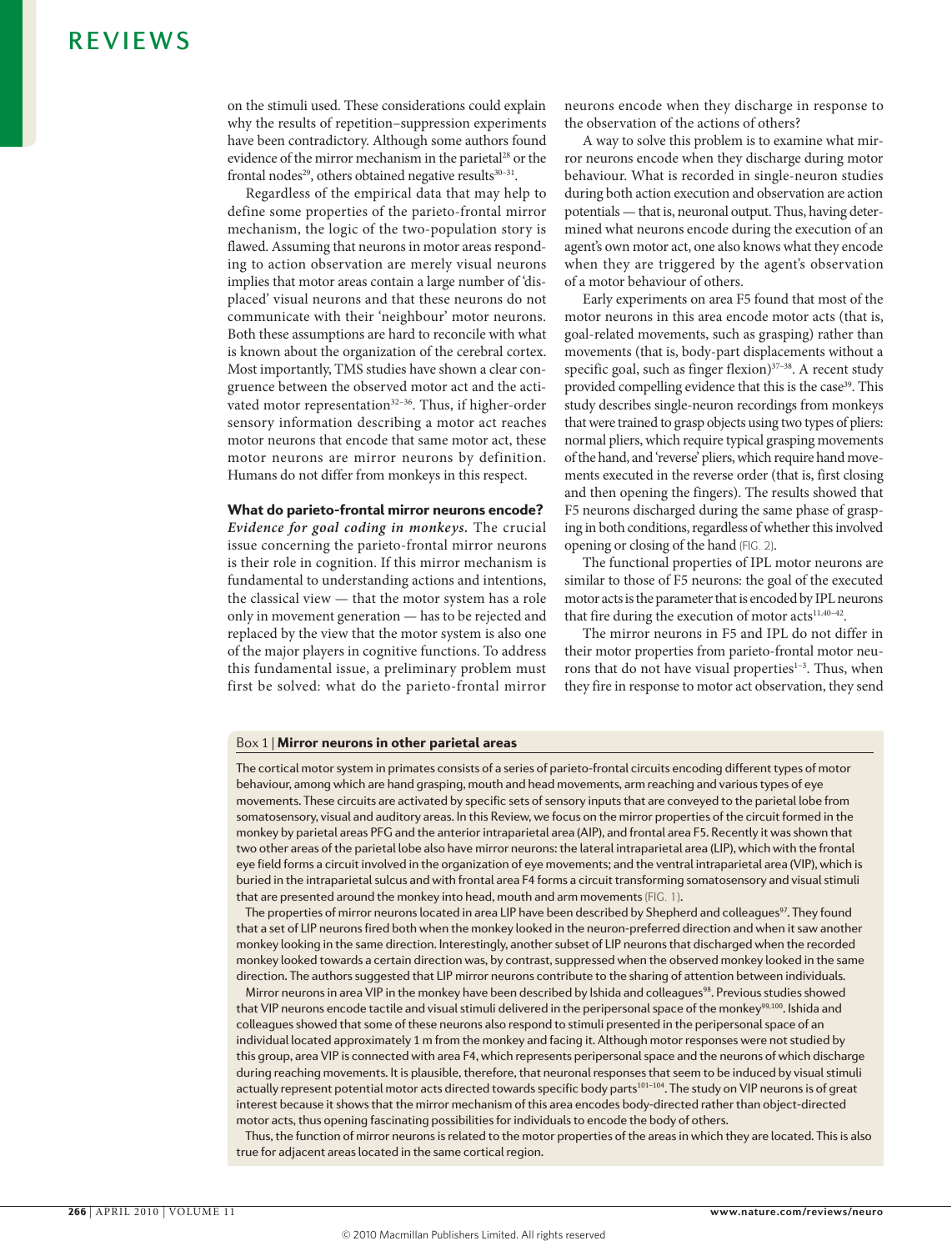on the stimuli used. These considerations could explain why the results of repetition–suppression experiments have been contradictory. Although some authors found evidence of the mirror mechanism in the parietal<sup>28</sup> or the frontal nodes<sup>29</sup>, others obtained negative results $30-31$ .

Regardless of the empirical data that may help to define some properties of the parieto-frontal mirror mechanism, the logic of the two-population story is flawed. Assuming that neurons in motor areas responding to action observation are merely visual neurons implies that motor areas contain a large number of 'displaced' visual neurons and that these neurons do not communicate with their 'neighbour' motor neurons. Both these assumptions are hard to reconcile with what is known about the organization of the cerebral cortex. Most importantly, TMS studies have shown a clear congruence between the observed motor act and the activated motor representation<sup>32-36</sup>. Thus, if higher-order sensory information describing a motor act reaches motor neurons that encode that same motor act, these motor neurons are mirror neurons by definition. Humans do not differ from monkeys in this respect.

#### What do parieto-frontal mirror neurons encode?

*Evidence for goal coding in monkeys.* The crucial issue concerning the parieto-frontal mirror neurons is their role in cognition. If this mirror mechanism is fundamental to understanding actions and intentions, the classical view — that the motor system has a role only in movement generation — has to be rejected and replaced by the view that the motor system is also one of the major players in cognitive functions. To address this fundamental issue, a preliminary problem must first be solved: what do the parieto-frontal mirror

neurons encode when they discharge in response to the observation of the actions of others?

A way to solve this problem is to examine what mirror neurons encode when they discharge during motor behaviour. what is recorded in single-neuron studies during both action execution and observation are action potentials — that is, neuronal output. Thus, having determined what neurons encode during the execution of an agent's own motor act, one also knows what they encode when they are triggered by the agent's observation of a motor behaviour of others.

Early experiments on area F5 found that most of the motor neurons in this area encode motor acts (that is, goal-related movements, such as grasping) rather than movements (that is, body-part displacements without a specific goal, such as finger flexion) $37-38$ . A recent study provided compelling evidence that this is the case<sup>39</sup>. This study describes single-neuron recordings from monkeys that were trained to grasp objects using two types of pliers: normal pliers, which require typical grasping movements of the hand, and 'reverse' pliers, which require hand movements executed in the reverse order (that is, first closing and then opening the fingers). The results showed that F5 neurons discharged during the same phase of grasping in both conditions, regardless of whether this involved opening or closing of the hand (FIG. 2).

The functional properties of Ipl motor neurons are similar to those of F5 neurons: the goal of the executed motor acts is the parameter that is encoded by IPL neurons that fire during the execution of motor acts<sup>11,40-42</sup>.

The mirror neurons in F5 and Ipl do not differ in their motor properties from parieto-frontal motor neurons that do not have visual properties<sup>1-3</sup>. Thus, when they fire in response to motor act observation, they send

#### Box 1 | Mirror neurons in other parietal areas

The cortical motor system in primates consists of a series of parieto-frontal circuits encoding different types of motor behaviour, among which are hand grasping, mouth and head movements, arm reaching and various types of eye movements. These circuits are activated by specific sets of sensory inputs that are conveyed to the parietal lobe from somatosensory, visual and auditory areas. In this Review, we focus on the mirror properties of the circuit formed in the monkey by parietal areas PFG and the anterior intraparietal area (AIP), and frontal area F5. Recently it was shown that two other areas of the parietal lobe also have mirror neurons: the lateral intraparietal area (LIP), which with the frontal eye field forms a circuit involved in the organization of eye movements; and the ventral intraparietal area (VIP), which is buried in the intraparietal sulcus and with frontal area F4 forms a circuit transforming somatosensory and visual stimuli that are presented around the monkey into head, mouth and arm movements (FIG. 1).

The properties of mirror neurons located in area LIP have been described by Shepherd and colleagues<sup>97</sup>. They found that a set of LIP neurons fired both when the monkey looked in the neuron-preferred direction and when it saw another monkey looking in the same direction. Interestingly, another subset of LIP neurons that discharged when the recorded monkey looked towards a certain direction was, by contrast, suppressed when the observed monkey looked in the same direction. The authors suggested that LIP mirror neurons contribute to the sharing of attention between individuals.

Mirror neurons in area VIP in the monkey have been described by Ishida and colleagues<sup>98</sup>. Previous studies showed that VIP neurons encode tactile and visual stimuli delivered in the peripersonal space of the monkey<sup>99,100</sup>. Ishida and colleagues showed that some of these neurons also respond to stimuli presented in the peripersonal space of an individual located approximately 1 m from the monkey and facing it. Although motor responses were not studied by this group, area VIP is connected with area F4, which represents peripersonal space and the neurons of which discharge during reaching movements. It is plausible, therefore, that neuronal responses that seem to be induced by visual stimuli actually represent potential motor acts directed towards specific body parts101–104. The study on VIP neurons is of great interest because it shows that the mirror mechanism of this area encodes body-directed rather than object-directed motor acts, thus opening fascinating possibilities for individuals to encode the body of others.

Thus, the function of mirror neurons is related to the motor properties of the areas in which they are located. This is also true for adjacent areas located in the same cortical region.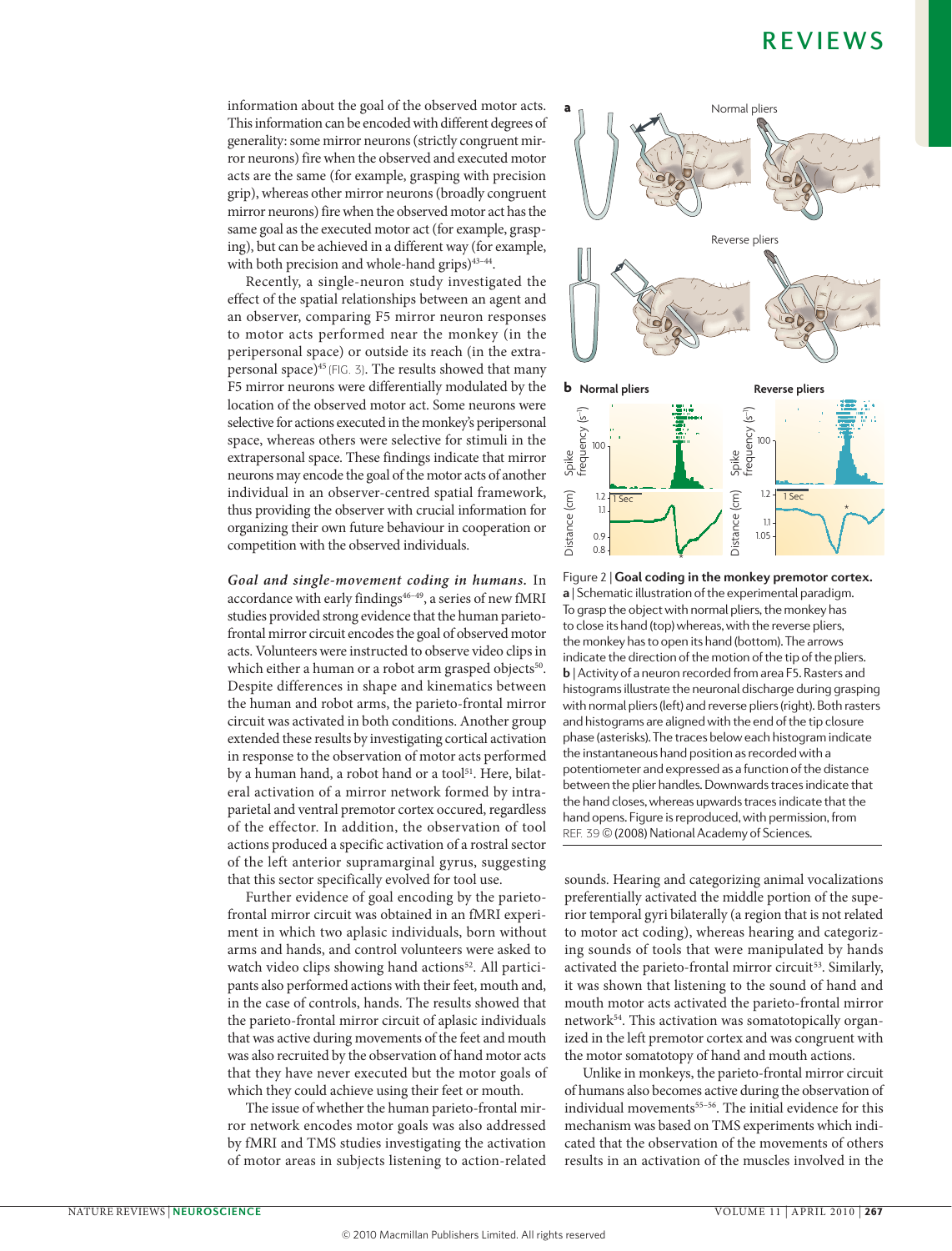information about the goal of the observed motor acts. This information can be encoded with different degrees of generality: some mirror neurons (strictly congruent mirror neurons) fire when the observed and executed motor acts are the same (for example, grasping with precision grip), whereas other mirror neurons (broadly congruent mirror neurons) fire when the observed motor act has the same goal as the executed motor act (for example, grasping), but can be achieved in a different way (for example, with both precision and whole-hand grips)<sup>43-44</sup>.

Recently, a single-neuron study investigated the effect of the spatial relationships between an agent and an observer, comparing F5 mirror neuron responses to motor acts performed near the monkey (in the peripersonal space) or outside its reach (in the extrapersonal space) $45$  (FIG. 3). The results showed that many F5 mirror neurons were differentially modulated by the location of the observed motor act. Some neurons were selective for actions executed in the monkey's peripersonal space, whereas others were selective for stimuli in the extrapersonal space. These findings indicate that mirror neurons may encode the goal of the motor acts of another individual in an observer-centred spatial framework, thus providing the observer with crucial information for organizing their own future behaviour in cooperation or competition with the observed individuals.



Further evidence of goal encoding by the parietofrontal mirror circuit was obtained in an fMRI experiment in which two aplasic individuals, born without arms and hands, and control volunteers were asked to watch video clips showing hand actions<sup>52</sup>. All participants also performed actions with their feet, mouth and, in the case of controls, hands. The results showed that the parieto-frontal mirror circuit of aplasic individuals that was active during movements of the feet and mouth was also recruited by the observation of hand motor acts that they have never executed but the motor goals of which they could achieve using their feet or mouth.

The issue of whether the human parieto-frontal mirror network encodes motor goals was also addressed by fMRI and TMS studies investigating the activation of motor areas in subjects listening to action-related



To grasp the object with normal pliers, the monkey has Figure 2 | **Goal coding in the monkey premotor cortex. a** | Schematic illustration of the experimental paradigm. to close its hand (top) whereas, with the reverse pliers, the monkey has to open its hand (bottom). The arrows indicate the direction of the motion of the tip of the pliers. **b** | Activity of a neuron recorded from area F5. Rasters and histograms illustrate the neuronal discharge during grasping with normal pliers (left) and reverse pliers (right). Both rasters and histograms are aligned with the end of the tip closure phase (asterisks). The traces below each histogram indicate the instantaneous hand position as recorded with a potentiometer and expressed as a function of the distance between the plier handles. Downwards traces indicate that the hand closes, whereas upwards traces indicate that the hand opens. Figure is reproduced, with permission, from REF. 39© (2008) National Academy of Sciences.

sounds. Hearing and categorizing animal vocalizations preferentially activated the middle portion of the superior temporal gyri bilaterally (a region that is not related to motor act coding), whereas hearing and categorizing sounds of tools that were manipulated by hands activated the parieto-frontal mirror circuit<sup>53</sup>. Similarly, it was shown that listening to the sound of hand and mouth motor acts activated the parieto-frontal mirror network54. This activation was somatotopically organized in the left premotor cortex and was congruent with the motor somatotopy of hand and mouth actions.

Unlike in monkeys, the parieto-frontal mirror circuit of humans also becomes active during the observation of individual movements<sup>55-56</sup>. The initial evidence for this mechanism was based on TMS experiments which indicated that the observation of the movements of others results in an activation of the muscles involved in the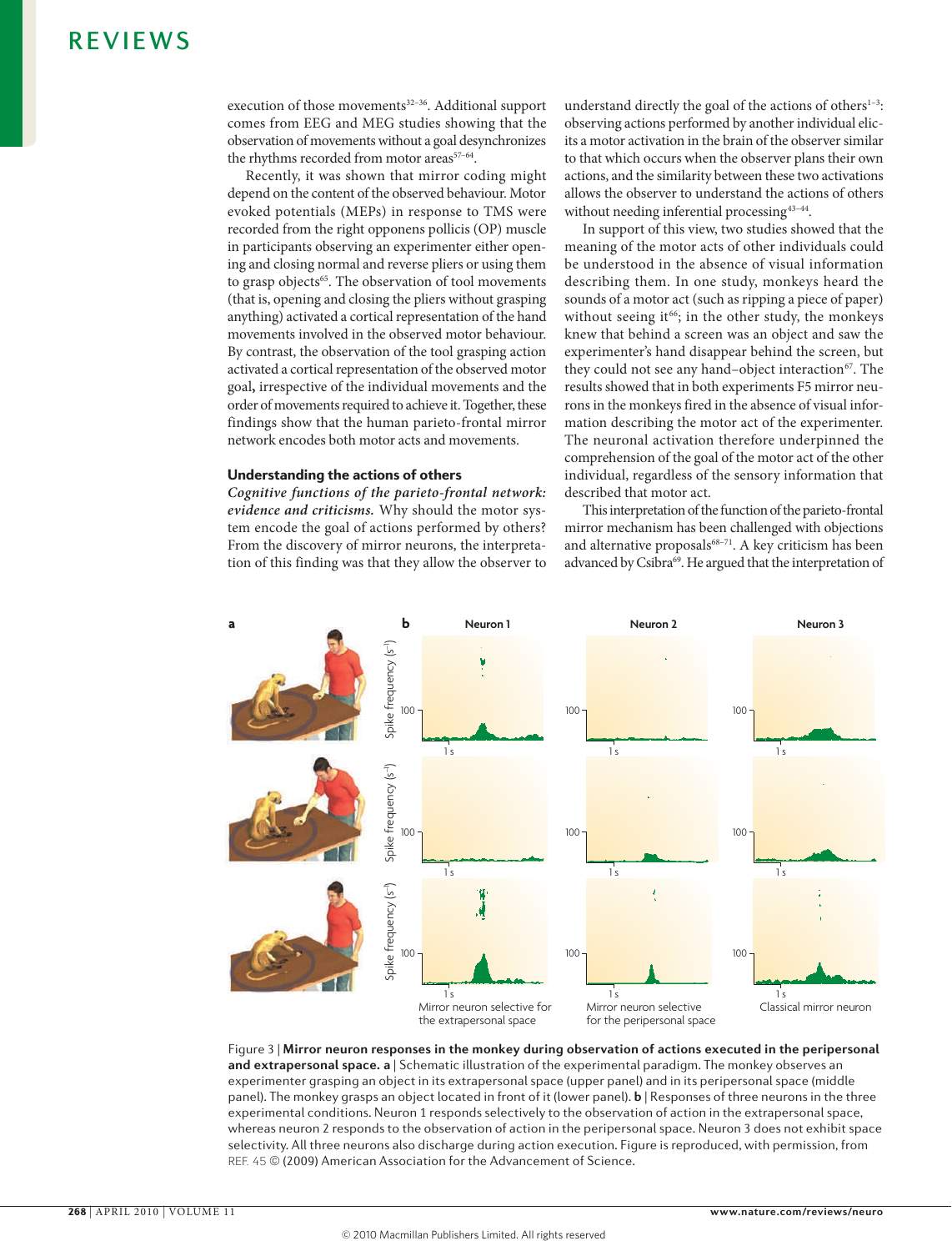execution of those movements<sup>32-36</sup>. Additional support comes from EEG and MEG studies showing that the observation of movements without a goal desynchronizes the rhythms recorded from motor areas<sup>57-64</sup>.

Recently, it was shown that mirror coding might depend on the content of the observed behaviour. Motor evoked potentials (Meps) in response to TMS were recorded from the right opponens pollicis (Op) muscle in participants observing an experimenter either opening and closing normal and reverse pliers or using them to grasp objects<sup>65</sup>. The observation of tool movements (that is, opening and closing the pliers without grasping anything) activated a cortical representation of the hand movements involved in the observed motor behaviour. By contrast, the observation of the tool grasping action activated a cortical representation of the observed motor goal**,** irrespective of the individual movements and the order of movements required to achieve it. Together, these findings show that the human parieto-frontal mirror network encodes both motor acts and movements.

### Understanding the actions of others

*Cognitive functions of the parieto-frontal network: evidence and criticisms.* why should the motor system encode the goal of actions performed by others? From the discovery of mirror neurons, the interpretation of this finding was that they allow the observer to understand directly the goal of the actions of others $1-3$ : observing actions performed by another individual elicits a motor activation in the brain of the observer similar to that which occurs when the observer plans their own actions, and the similarity between these two activations allows the observer to understand the actions of others without needing inferential processing<sup>43-44</sup>.

In support of this view, two studies showed that the meaning of the motor acts of other individuals could be understood in the absence of visual information describing them. In one study, monkeys heard the sounds of a motor act (such as ripping a piece of paper) without seeing it<sup>66</sup>; in the other study, the monkeys knew that behind a screen was an object and saw the experimenter's hand disappear behind the screen, but they could not see any hand–object interaction<sup>67</sup>. The results showed that in both experiments F5 mirror neurons in the monkeys fired in the absence of visual information describing the motor act of the experimenter. The neuronal activation therefore underpinned the comprehension of the goal of the motor act of the other individual, regardless of the sensory information that described that motor act.

This interpretation of the function of the parieto-frontal mirror mechanism has been challenged with objections and alternative proposals<sup>68-71</sup>. A key criticism has been advanced by Csibra<sup>69</sup>. He argued that the interpretation of



**and extrapersonal space. a** Schematic illustration of the experimental paradigm. The monkey observes an Figure 3 | **Mirror neuron responses in the monkey during observation of actions executed in the peripersonal**  experimenter grasping an object in its extrapersonal space (upper panel) and in its peripersonal space (middle panel). The monkey grasps an object located in front of it (lower panel). **b** | Responses of three neurons in the three experimental conditions. Neuron 1 responds selectively to the observation of action in the extrapersonal space, whereas neuron 2 responds to the observation of action in the peripersonal space. Neuron 3 does not exhibit space selectivity. All three neurons also discharge during action execution. Figure is reproduced, with permission, from REF. 45 © (2009) American Association for the Advancement of Science.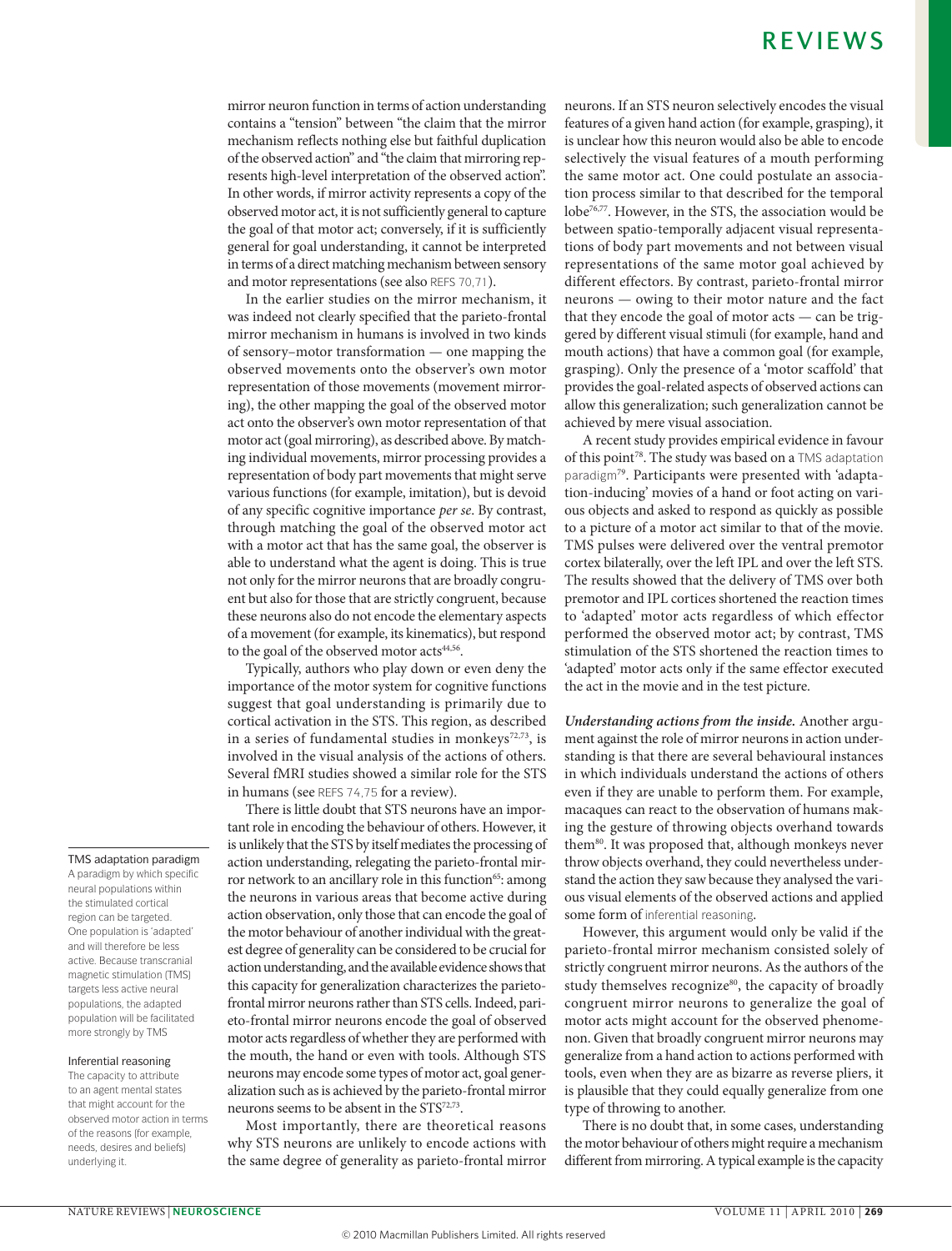mirror neuron function in terms of action understanding contains a "tension" between "the claim that the mirror mechanism reflects nothing else but faithful duplication of the observed action" and "the claim that mirroring represents high-level interpretation of the observed action". In other words, if mirror activity represents a copy of the observed motor act, it is not sufficiently general to capture the goal of that motor act; conversely, if it is sufficiently general for goal understanding, it cannot be interpreted in terms of a direct matching mechanism between sensory and motor representations (see also REFS 70,71).

In the earlier studies on the mirror mechanism, it was indeed not clearly specified that the parieto-frontal mirror mechanism in humans is involved in two kinds of sensory–motor transformation — one mapping the observed movements onto the observer's own motor representation of those movements (movement mirroring), the other mapping the goal of the observed motor act onto the observer's own motor representation of that motor act (goal mirroring), as described above. By matching individual movements, mirror processing provides a representation of body part movements that might serve various functions (for example, imitation), but is devoid of any specific cognitive importance *per se*. By contrast, through matching the goal of the observed motor act with a motor act that has the same goal, the observer is able to understand what the agent is doing. This is true not only for the mirror neurons that are broadly congruent but also for those that are strictly congruent, because these neurons also do not encode the elementary aspects of a movement (for example, its kinematics), but respond to the goal of the observed motor acts<sup>44,56</sup>.

Typically, authors who play down or even deny the importance of the motor system for cognitive functions suggest that goal understanding is primarily due to cortical activation in the STS. This region, as described in a series of fundamental studies in monkeys $72,73$ , is involved in the visual analysis of the actions of others. Several fMRI studies showed a similar role for the STS in humans (see REFS 74,75 for a review).

There is little doubt that STS neurons have an important role in encoding the behaviour of others. However, it is unlikely that the STS by itself mediates the processing of action understanding, relegating the parieto-frontal mirror network to an ancillary role in this function<sup>65</sup>: among the neurons in various areas that become active during action observation, only those that can encode the goal of the motor behaviour of another individual with the greatest degree of generality can be considered to be crucial for action understanding, and the available evidence shows that this capacity for generalization characterizes the parietofrontal mirror neurons rather than STS cells. Indeed, parieto-frontal mirror neurons encode the goal of observed motor acts regardless of whether they are performed with the mouth, the hand or even with tools. Although STS neurons may encode some types of motor act, goal generalization such as is achieved by the parieto-frontal mirror neurons seems to be absent in the STS<sup>72,73</sup>.

Most importantly, there are theoretical reasons why STS neurons are unlikely to encode actions with the same degree of generality as parieto-frontal mirror

neurons. If an STS neuron selectively encodes the visual features of a given hand action (for example, grasping), it is unclear how this neuron would also be able to encode selectively the visual features of a mouth performing the same motor act. One could postulate an association process similar to that described for the temporal lobe<sup>76,77</sup>. However, in the STS, the association would be between spatio-temporally adjacent visual representations of body part movements and not between visual representations of the same motor goal achieved by different effectors. By contrast, parieto-frontal mirror neurons — owing to their motor nature and the fact that they encode the goal of motor acts — can be triggered by different visual stimuli (for example, hand and mouth actions) that have a common goal (for example, grasping). Only the presence of a 'motor scaffold' that provides the goal-related aspects of observed actions can allow this generalization; such generalization cannot be achieved by mere visual association.

A recent study provides empirical evidence in favour of this point<sup>78</sup>. The study was based on a TMS adaptation paradigm79. participants were presented with 'adaptation-inducing' movies of a hand or foot acting on various objects and asked to respond as quickly as possible to a picture of a motor act similar to that of the movie. TMS pulses were delivered over the ventral premotor cortex bilaterally, over the left Ipl and over the left STS. The results showed that the delivery of TMS over both premotor and Ipl cortices shortened the reaction times to 'adapted' motor acts regardless of which effector performed the observed motor act; by contrast, TMS stimulation of the STS shortened the reaction times to 'adapted' motor acts only if the same effector executed the act in the movie and in the test picture.

*Understanding actions from the inside.* Another argument against the role of mirror neurons in action understanding is that there are several behavioural instances in which individuals understand the actions of others even if they are unable to perform them. For example, macaques can react to the observation of humans making the gesture of throwing objects overhand towards them80. It was proposed that, although monkeys never throw objects overhand, they could nevertheless understand the action they saw because they analysed the various visual elements of the observed actions and applied some form of inferential reasoning.

However, this argument would only be valid if the parieto-frontal mirror mechanism consisted solely of strictly congruent mirror neurons. As the authors of the study themselves recognize<sup>80</sup>, the capacity of broadly congruent mirror neurons to generalize the goal of motor acts might account for the observed phenomenon. Given that broadly congruent mirror neurons may generalize from a hand action to actions performed with tools, even when they are as bizarre as reverse pliers, it is plausible that they could equally generalize from one type of throwing to another.

There is no doubt that, in some cases, understanding the motor behaviour of others might require a mechanism different from mirroring. A typical example is the capacity

#### TMS adaptation paradigm A paradigm by which specific

neural populations within the stimulated cortical region can be targeted. One population is 'adapted' and will therefore be less active. Because transcranial magnetic stimulation (TMS) targets less active neural populations, the adapted population will be facilitated more strongly by TMS

#### Inferential reasoning

The capacity to attribute to an agent mental states that might account for the observed motor action in terms of the reasons (for example, needs, desires and beliefs) underlying it.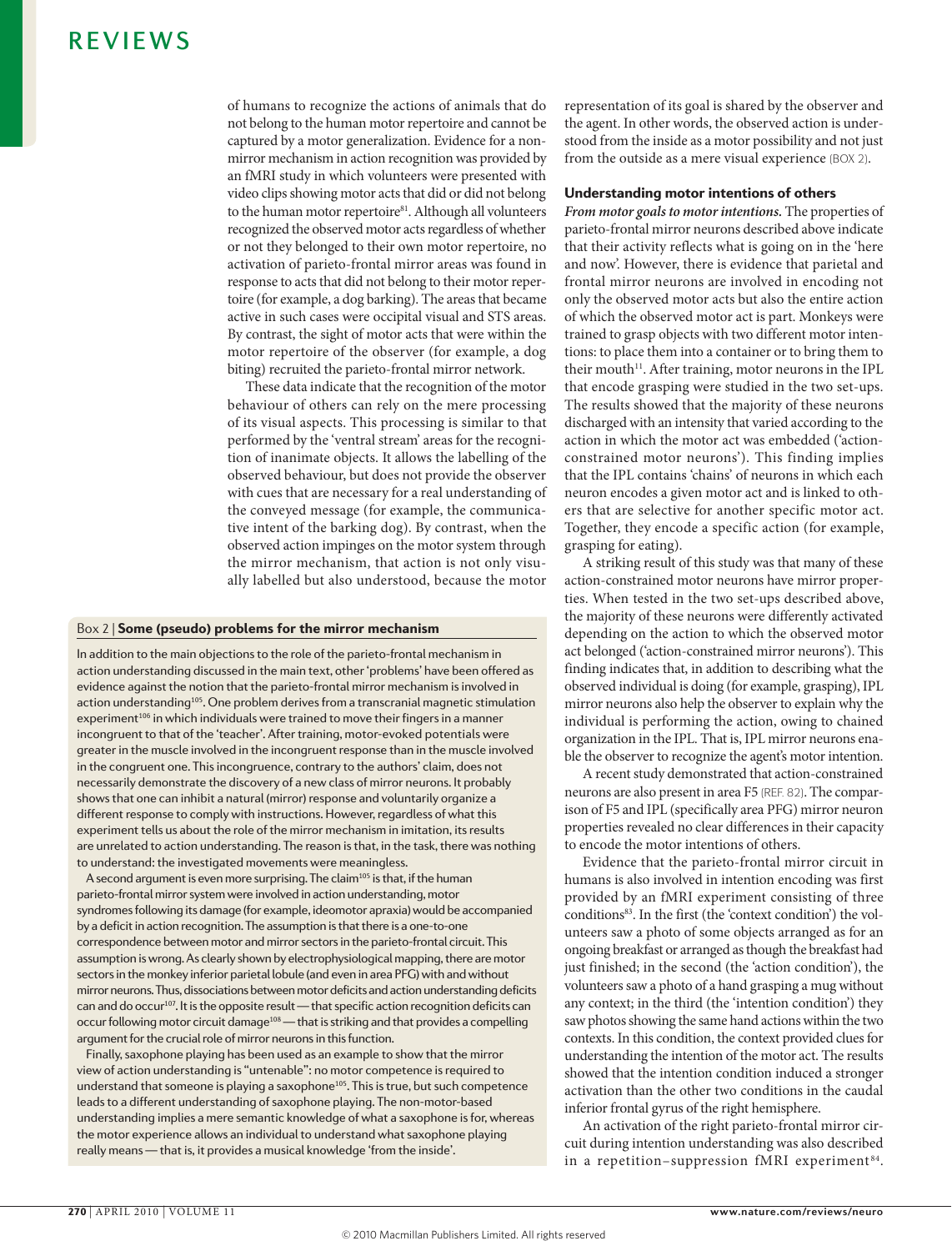of humans to recognize the actions of animals that do not belong to the human motor repertoire and cannot be captured by a motor generalization. Evidence for a nonmirror mechanism in action recognition was provided by an fMRI study in which volunteers were presented with video clips showing motor acts that did or did not belong to the human motor repertoire<sup>81</sup>. Although all volunteers recognized the observed motor acts regardless of whether or not they belonged to their own motor repertoire, no activation of parieto-frontal mirror areas was found in response to acts that did not belong to their motor repertoire (for example, a dog barking). The areas that became active in such cases were occipital visual and STS areas. By contrast, the sight of motor acts that were within the motor repertoire of the observer (for example, a dog biting) recruited the parieto-frontal mirror network.

These data indicate that the recognition of the motor behaviour of others can rely on the mere processing of its visual aspects. This processing is similar to that performed by the 'ventral stream' areas for the recognition of inanimate objects. It allows the labelling of the observed behaviour, but does not provide the observer with cues that are necessary for a real understanding of the conveyed message (for example, the communicative intent of the barking dog). By contrast, when the observed action impinges on the motor system through the mirror mechanism, that action is not only visually labelled but also understood, because the motor

### Box 2 | Some (pseudo) problems for the mirror mechanism

In addition to the main objections to the role of the parieto-frontal mechanism in action understanding discussed in the main text, other 'problems' have been offered as evidence against the notion that the parieto-frontal mirror mechanism is involved in action understanding<sup>105</sup>. One problem derives from a transcranial magnetic stimulation experiment<sup>106</sup> in which individuals were trained to move their fingers in a manner incongruent to that of the 'teacher'. After training, motor-evoked potentials were greater in the muscle involved in the incongruent response than in the muscle involved in the congruent one. This incongruence, contrary to the authors' claim, does not necessarily demonstrate the discovery of a new class of mirror neurons. It probably shows that one can inhibit a natural (mirror) response and voluntarily organize a different response to comply with instructions. However, regardless of what this experiment tells us about the role of the mirror mechanism in imitation, its results are unrelated to action understanding. The reason is that, in the task, there was nothing to understand: the investigated movements were meaningless.

A second argument is even more surprising. The claim<sup>105</sup> is that, if the human parieto-frontal mirror system were involved in action understanding, motor syndromes following its damage (for example, ideomotor apraxia) would be accompanied by a deficit in action recognition. The assumption is that there is a one-to-one correspondence between motor and mirror sectors in the parieto-frontal circuit. This assumption is wrong. As clearly shown by electrophysiological mapping, there are motor sectors in the monkey inferior parietal lobule (and even in area PFG) with and without mirror neurons. Thus, dissociations between motor deficits and action understanding deficits can and do occur<sup>107</sup>. It is the opposite result — that specific action recognition deficits can occur following motor circuit damage<sup>108</sup> — that is striking and that provides a compelling argument for the crucial role of mirror neurons in this function.

Finally, saxophone playing has been used as an example to show that the mirror view of action understanding is "untenable": no motor competence is required to understand that someone is playing a saxophone<sup>105</sup>. This is true, but such competence leads to a different understanding of saxophone playing. The non-motor-based understanding implies a mere semantic knowledge of what a saxophone is for, whereas the motor experience allows an individual to understand what saxophone playing really means — that is, it provides a musical knowledge 'from the inside'.

representation of its goal is shared by the observer and the agent. In other words, the observed action is understood from the inside as a motor possibility and not just from the outside as a mere visual experience (BOX 2).

### Understanding motor intentions of others

*From motor goals to motor intentions.* The properties of parieto-frontal mirror neurons described above indicate that their activity reflects what is going on in the 'here and now'. However, there is evidence that parietal and frontal mirror neurons are involved in encoding not only the observed motor acts but also the entire action of which the observed motor act is part. Monkeys were trained to grasp objects with two different motor intentions: to place them into a container or to bring them to their mouth<sup>11</sup>. After training, motor neurons in the IPL that encode grasping were studied in the two set-ups. The results showed that the majority of these neurons discharged with an intensity that varied according to the action in which the motor act was embedded ('actionconstrained motor neurons'). This finding implies that the Ipl contains 'chains' of neurons in which each neuron encodes a given motor act and is linked to others that are selective for another specific motor act. Together, they encode a specific action (for example, grasping for eating).

A striking result of this study was that many of these action-constrained motor neurons have mirror properties. when tested in the two set-ups described above, the majority of these neurons were differently activated depending on the action to which the observed motor act belonged ('action-constrained mirror neurons'). This finding indicates that, in addition to describing what the observed individual is doing (for example, grasping), Ipl mirror neurons also help the observer to explain why the individual is performing the action, owing to chained organization in the Ipl. That is, Ipl mirror neurons enable the observer to recognize the agent's motor intention.

A recent study demonstrated that action-constrained neurons are also present in area F5 (REF. 82). The comparison of F5 and Ipl (specifically area pFG) mirror neuron properties revealed no clear differences in their capacity to encode the motor intentions of others.

Evidence that the parieto-frontal mirror circuit in humans is also involved in intention encoding was first provided by an fMRI experiment consisting of three conditions<sup>83</sup>. In the first (the 'context condition') the volunteers saw a photo of some objects arranged as for an ongoing breakfast or arranged as though the breakfast had just finished; in the second (the 'action condition'), the volunteers saw a photo of a hand grasping a mug without any context; in the third (the 'intention condition') they saw photos showing the same hand actions within the two contexts. In this condition, the context provided clues for understanding the intention of the motor act. The results showed that the intention condition induced a stronger activation than the other two conditions in the caudal inferior frontal gyrus of the right hemisphere.

An activation of the right parieto-frontal mirror circuit during intention understanding was also described in a repetition-suppression fMRI experiment<sup>84</sup>.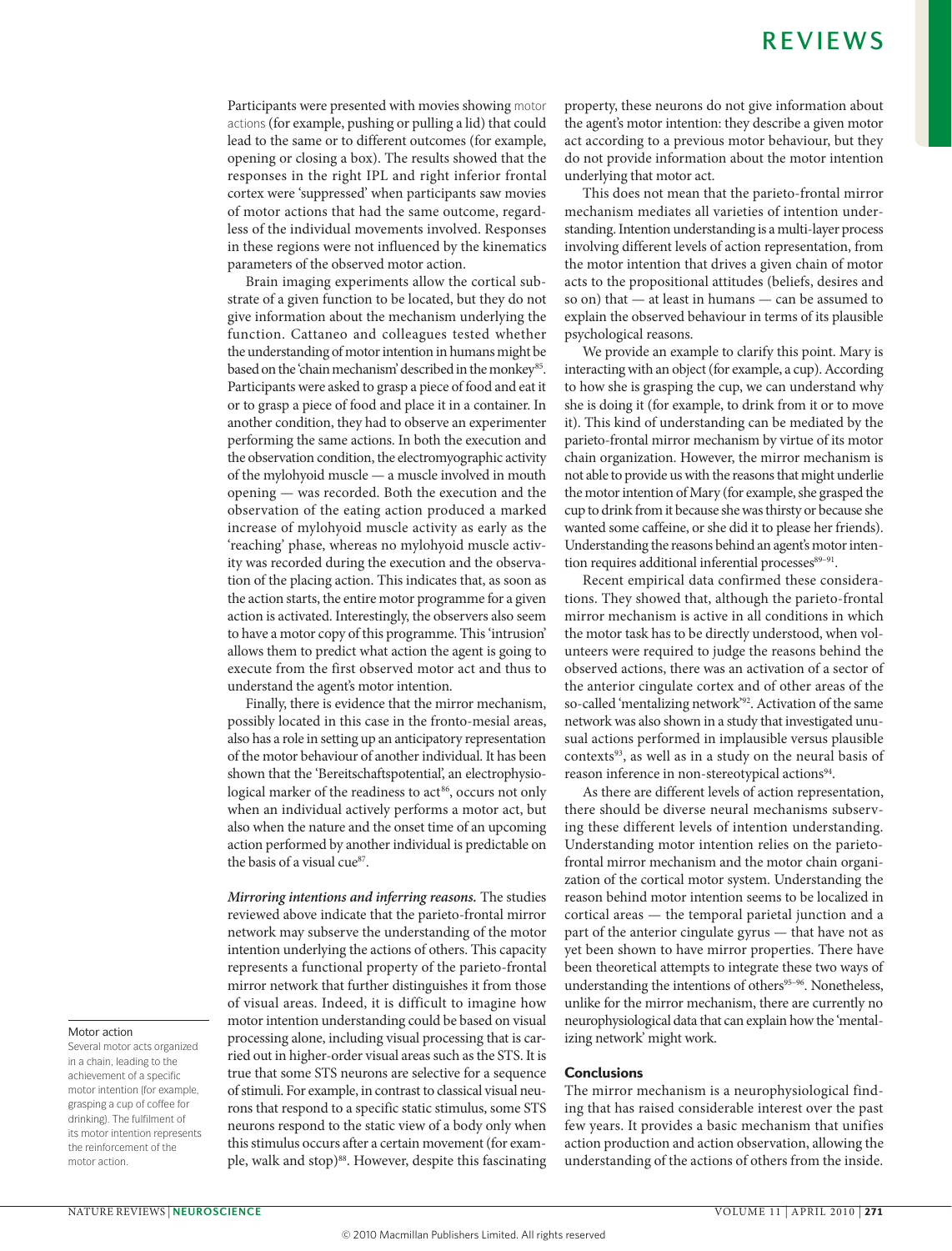participants were presented with movies showing motor actions (for example, pushing or pulling a lid) that could lead to the same or to different outcomes (for example, opening or closing a box). The results showed that the responses in the right Ipl and right inferior frontal cortex were 'suppressed' when participants saw movies of motor actions that had the same outcome, regardless of the individual movements involved. Responses in these regions were not influenced by the kinematics parameters of the observed motor action.

Brain imaging experiments allow the cortical substrate of a given function to be located, but they do not give information about the mechanism underlying the function. Cattaneo and colleagues tested whether the understanding of motor intention in humans might be based on the 'chain mechanism' described in the monkey<sup>85</sup>. participants were asked to grasp a piece of food and eat it or to grasp a piece of food and place it in a container. In another condition, they had to observe an experimenter performing the same actions. In both the execution and the observation condition, the electromyographic activity of the mylohyoid muscle — a muscle involved in mouth opening — was recorded. Both the execution and the observation of the eating action produced a marked increase of mylohyoid muscle activity as early as the 'reaching' phase, whereas no mylohyoid muscle activity was recorded during the execution and the observation of the placing action. This indicates that, as soon as the action starts, the entire motor programme for a given action is activated. Interestingly, the observers also seem to have a motor copy of this programme. This 'intrusion' allows them to predict what action the agent is going to execute from the first observed motor act and thus to understand the agent's motor intention.

Finally, there is evidence that the mirror mechanism, possibly located in this case in the fronto-mesial areas, also has a role in setting up an anticipatory representation of the motor behaviour of another individual. It has been shown that the 'Bereitschaftspotential', an electrophysiological marker of the readiness to act<sup>86</sup>, occurs not only when an individual actively performs a motor act, but also when the nature and the onset time of an upcoming action performed by another individual is predictable on the basis of a visual cue<sup>87</sup>.

*Mirroring intentions and inferring reasons.* The studies reviewed above indicate that the parieto-frontal mirror network may subserve the understanding of the motor intention underlying the actions of others. This capacity represents a functional property of the parieto-frontal mirror network that further distinguishes it from those of visual areas. Indeed, it is difficult to imagine how motor intention understanding could be based on visual processing alone, including visual processing that is carried out in higher-order visual areas such as the STS. It is true that some STS neurons are selective for a sequence of stimuli. For example, in contrast to classical visual neurons that respond to a specific static stimulus, some STS neurons respond to the static view of a body only when this stimulus occurs after a certain movement (for example, walk and stop)<sup>88</sup>. However, despite this fascinating property, these neurons do not give information about the agent's motor intention: they describe a given motor act according to a previous motor behaviour, but they do not provide information about the motor intention underlying that motor act.

This does not mean that the parieto-frontal mirror mechanism mediates all varieties of intention understanding. Intention understanding is a multi-layer process involving different levels of action representation, from the motor intention that drives a given chain of motor acts to the propositional attitudes (beliefs, desires and so on) that — at least in humans — can be assumed to explain the observed behaviour in terms of its plausible psychological reasons.

we provide an example to clarify this point. Mary is interacting with an object (for example, a cup). According to how she is grasping the cup, we can understand why she is doing it (for example, to drink from it or to move it). This kind of understanding can be mediated by the parieto-frontal mirror mechanism by virtue of its motor chain organization. However, the mirror mechanism is not able to provide us with the reasons that might underlie the motor intention of Mary (for example, she grasped the cup to drink from it because she was thirsty or because she wanted some caffeine, or she did it to please her friends). Understanding the reasons behind an agent's motor intention requires additional inferential processes<sup>89-91</sup>.

Recent empirical data confirmed these considerations. They showed that, although the parieto-frontal mirror mechanism is active in all conditions in which the motor task has to be directly understood, when volunteers were required to judge the reasons behind the observed actions, there was an activation of a sector of the anterior cingulate cortex and of other areas of the so-called 'mentalizing network'92. Activation of the same network was also shown in a study that investigated unusual actions performed in implausible versus plausible contexts93, as well as in a study on the neural basis of reason inference in non-stereotypical actions<sup>94</sup>.

As there are different levels of action representation, there should be diverse neural mechanisms subserving these different levels of intention understanding. Understanding motor intention relies on the parietofrontal mirror mechanism and the motor chain organization of the cortical motor system. Understanding the reason behind motor intention seems to be localized in cortical areas — the temporal parietal junction and a part of the anterior cingulate gyrus — that have not as yet been shown to have mirror properties. There have been theoretical attempts to integrate these two ways of understanding the intentions of others<sup>95-96</sup>. Nonetheless, unlike for the mirror mechanism, there are currently no neurophysiological data that can explain how the 'mentalizing network' might work.

### **Conclusions**

The mirror mechanism is a neurophysiological finding that has raised considerable interest over the past few years. It provides a basic mechanism that unifies action production and action observation, allowing the understanding of the actions of others from the inside.

### Motor action

Several motor acts organized in a chain, leading to the achievement of a specific motor intention (for example, grasping a cup of coffee for drinking). The fulfilment of its motor intention represents the reinforcement of the motor action.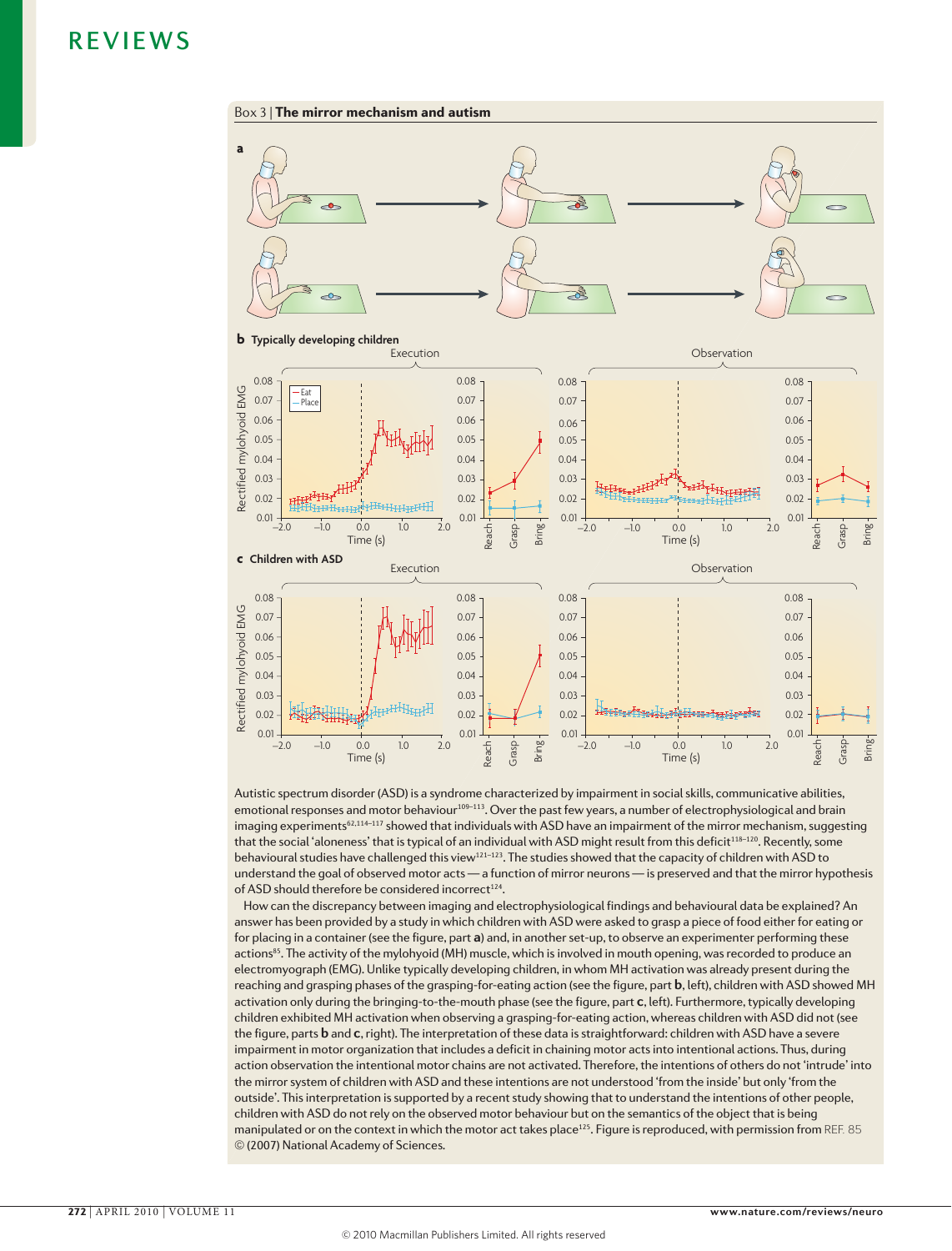### Box 3 | The mirror mechanism and autism



**Nature Reviews** | **Neuroscience** Autistic spectrum disorder (ASD) is a syndrome characterized by impairment in social skills, communicative abilities, emotional responses and motor behaviour<sup>109-113</sup>. Over the past few years, a number of electrophysiological and brain imaging experiments<sup>62,114–117</sup> showed that individuals with ASD have an impairment of the mirror mechanism, suggesting that the social 'aloneness' that is typical of an individual with ASD might result from this deficit<sup>118-120</sup>. Recently, some behavioural studies have challenged this view<sup>121–123</sup>. The studies showed that the capacity of children with ASD to understand the goal of observed motor acts — a function of mirror neurons — is preserved and that the mirror hypothesis of ASD should therefore be considered incorrect<sup>124</sup>.

How can the discrepancy between imaging and electrophysiological findings and behavioural data be explained? An answer has been provided by a study in which children with ASD were asked to grasp a piece of food either for eating or for placing in a container (see the figure, part **a**) and, in another set-up, to observe an experimenter performing these actions<sup>85</sup>. The activity of the mylohyoid (MH) muscle, which is involved in mouth opening, was recorded to produce an electromyograph (EMG). Unlike typically developing children, in whom MH activation was already present during the reaching and grasping phases of the grasping-for-eating action (see the figure, part **b**, left), children with ASD showed MH activation only during the bringing-to-the-mouth phase (see the figure, part **c**, left). Furthermore, typically developing children exhibited MH activation when observing a grasping-for-eating action, whereas children with ASD did not (see the figure, parts **b** and **c**, right). The interpretation of these data is straightforward: children with ASD have a severe impairment in motor organization that includes a deficit in chaining motor acts into intentional actions. Thus, during action observation the intentional motor chains are not activated. Therefore, the intentions of others do not 'intrude' into the mirror system of children with ASD and these intentions are not understood 'from the inside' but only 'from the outside'. This interpretation is supported by a recent study showing that to understand the intentions of other people, children with ASD do not rely on the observed motor behaviour but on the semantics of the object that is being manipulated or on the context in which the motor act takes place<sup>125</sup>. Figure is reproduced, with permission from REF. 85 © (2007) National Academy of Sciences.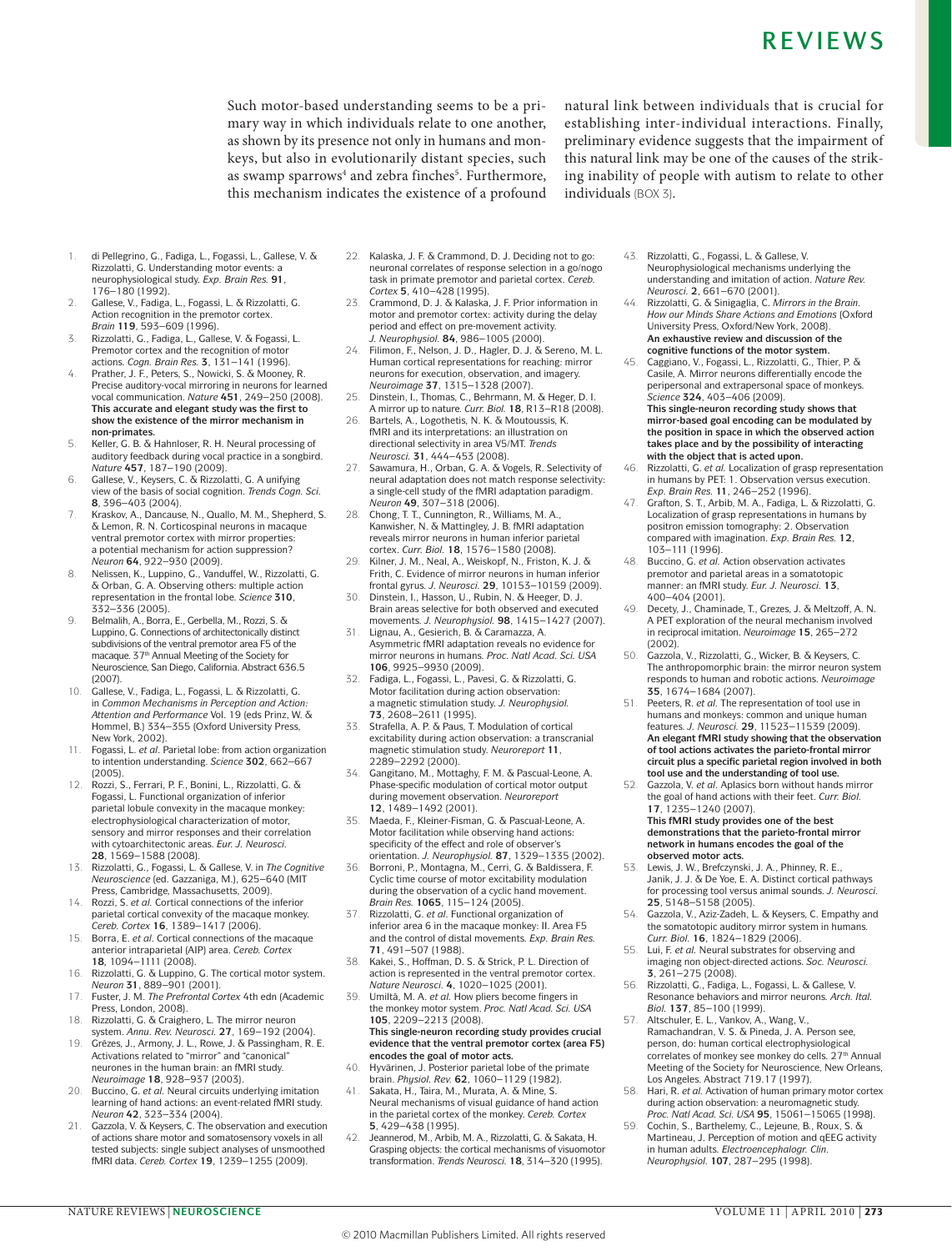Such motor-based understanding seems to be a primary way in which individuals relate to one another, as shown by its presence not only in humans and monkeys, but also in evolutionarily distant species, such as swamp sparrows<sup>4</sup> and zebra finches<sup>5</sup>. Furthermore, this mechanism indicates the existence of a profound natural link between individuals that is crucial for establishing inter-individual interactions. Finally, preliminary evidence suggests that the impairment of this natural link may be one of the causes of the striking inability of people with autism to relate to other individuals (BOX 3).

- 1. di Pellegrino, G., Fadiga, L., Fogassi, L., Gallese, V. & Rizzolatti, G. Understanding motor events: a neurophysiological study. *Exp. Brain Res.* **91**, 176–180 (1992).
- 2. Gallese, V., Fadiga, L., Fogassi, L. & Rizzolatti, G. Action recognition in the premotor cortex. *Brain* **119**, 593–609 (1996).
- 3. Rizzolatti, G., Fadiga, L., Gallese, V. & Fogassi, L. Premotor cortex and the recognition of motor actions. *Cogn. Brain Res.* **3**, 131–141 (1996).
- 4. Prather, J. F., Peters, S., Nowicki, S. & Mooney, R. Precise auditory-vocal mirroring in neurons for learned vocal communication. *Nature* **451**, 249–250 (2008). **This accurate and elegant study was the first to show the existence of the mirror mechanism in non-primates.**
- 5. Keller, G. B. & Hahnloser, R. H. Neural processing of auditory feedback during vocal practice in a songbird. *Nature* **457**, 187–190 (2009).
- 6. Gallese, V., Keysers, C. & Rizzolatti, G. A unifying view of the basis of social cognition. *Trends Cogn. Sci.* **8**, 396–403 (2004).
- 7. Kraskov, A., Dancause, N., Quallo, M. M., Shepherd, S. & Lemon, R. N. Corticospinal neurons in macaque ventral premotor cortex with mirror properties: a potential mechanism for action suppression? *Neuron* **64**, 922–930 (2009).
- 8. Nelissen, K., Luppino, G., Vanduffel, W., Rizzolatti, G. & Orban, G. A. Observing others: multiple action representation in the frontal lobe. *Science* **310**, 332–336 (2005).
- 9. Belmalih, A., Borra, E., Gerbella, M., Rozzi, S. & Luppino, G. Connections of architectonically distinct subdivisions of the ventral premotor area F5 of the<br>macaque. 37th Annual Meeting of the Society for Neuroscience, San Diego, California. Abstract 636.5 (2007).
- 10. Gallese, V., Fadiga, L., Fogassi, L. & Rizzolatti, G. in *Common Mechanisms in Perception and Action: Attention and Performance* Vol. 19 (eds Prinz, W. & Hommel, B.) 334–355 (Oxford University Press, New York, 2002).
- 11. Fogassi, L. *et al*. Parietal lobe: from action organization to intention understanding. *Science* **302**, 662–667 (2005).
- 12. Rozzi, S., Ferrari, P. F., Bonini, L., Rizzolatti, G. & Fogassi, L. Functional organization of inferior parietal lobule convexity in the macaque monkey: electrophysiological characterization of motor, sensory and mirror responses and their correlation with cytoarchitectonic areas. *Eur. J. Neurosci.* **28**, 1569–1588 (2008).
- 13. Rizzolatti, G., Fogassi, L. & Gallese, V. in *The Cognitive Neuroscience* (ed. Gazzaniga, M.), 625–640 (MIT Press, Cambridge, Massachusetts, 2009).
- 14. Rozzi, S. *et al.* Cortical connections of the inferior parietal cortical convexity of the macaque monkey. *Cereb. Cortex* **16**, 1389–1417 (2006).
- 15. Borra, E. *et al*. Cortical connections of the macaque anterior intraparietal (AIP) area. *Cereb. Cortex*  **18***,* 1094–1111 (2008).
- 16. Rizzolatti, G. & Luppino, G. The cortical motor system. *Neuron* **31**, 889–901 (2001).
- Fuster, J. M. *The Prefrontal Cortex* 4th edn (Academic Press, London, 2008).
- 18. Rizzolatti, G. & Craighero, L. The mirror neuro system. *Annu. Rev. Neurosci.* **27**, 169–192 (2004). 19. Grézes, J., Armony, J. L., Rowe, J. & Passingham, R. E.
- Activations related to "mirror" and "canonical" neurones in the human brain: an fMRI study. *Neuroimage* **18**, 928–937 (2003).
- 20. Buccino, G. *et al.* Neural circuits underlying imitation learning of hand actions: an event-related fMRI study. *Neuron* **42**, 323–334 (2004).
- 21. Gazzola, V. & Keysers, C. The observation and execution of actions share motor and somatosensory voxels in all tested subjects: single subject analyses of unsmoothed fMRI data. *Cereb. Cortex* **19**, 1239–1255 (2009).
- 22. Kalaska, J. F. & Crammond, D. J. Deciding not to go: neuronal correlates of response selection in a go/nogo task in primate premotor and parietal cortex. *Cereb. Cortex* **5**, 410–428 (1995).
- 23. Crammond, D. J. & Kalaska, J. F. Prior information in motor and premotor cortex: activity during the delay period and effect on pre-movement activity. *J. Neurophysiol.* **84**, 986–1005 (2000).
- 24. Filimon, F., Nelson, J. D., Hagler, D. J. & Sereno, M. L. Human cortical representations for reaching: mirror neurons for execution, observation, and imagery.
- *Neuroimage* **37**, 1315–1328 (2007). 25. Dinstein, I., Thomas, C., Behrmann, M. & Heger, D. I. A mirror up to nature. *Curr. Biol.* **18**, R13–R18 (2008).
- 26. Bartels, A., Logothetis, N. K. & Moutoussis, K. fMRI and its interpretations: an illustration on directional selectivity in area V5/MT. *Trends Neurosci.* **31**, 444–453 (2008).
- Sawamura, H., Orban, G. A. & Vogels, R. Selectivity of neural adaptation does not match response selectivity: a single-cell study of the fMRI adaptation paradigm. *Neuron* **49**, 307–318 (2006).
- 28. Chong, T. T., Cunnington, R., Williams, M. A., Kanwisher, N. & Mattingley, J. B. fMRI adaptation reveals mirror neurons in human inferior parietal cortex. *Curr. Biol.* **18**, 1576–1580 (2008).
- 29. Kilner, J. M., Neal, A., Weiskopf, N., Friston, K. J. & Frith, C. Evidence of mirror neurons in human inferior frontal gyrus. *J. Neurosci.* **29**, 10153–10159 (2009).
- 30. Dinstein, I., Hasson, U., Rubin, N. & Heeger, D. J. Brain areas selective for both observed and executed movements. *J. Neurophysiol.* **98**, 1415–1427 (2007).
- 31. Lignau, A., Gesierich, B. & Caramazza, A. Asymmetric fMRI adaptation reveals no evidence for mirror neurons in humans. *Proc. Natl Acad. Sci. USA* **106**, 9925–9930 (2009).
- 32. Fadiga, L., Fogassi, L., Pavesi, G. & Rizzolatti, G. Motor facilitation during action observation: a magnetic stimulation study. *J. Neurophysiol.* **73**, 2608–2611 (1995).
- Strafella, A. P. & Paus, T. Modulation of cortical excitability during action observation: a transcranial magnetic stimulation study. *Neuroreport* **11**, 2289–2292 (2000).
- 34. Gangitano, M., Mottaghy, F. M. & Pascual-Leone, A. Phase-specific modulation of cortical motor output during movement observation. *Neuroreport* **12**, 1489–1492 (2001).
- 35. Maeda, F., Kleiner-Fisman, G. & Pascual-Leone, A. Motor facilitation while observing hand actions: specificity of the effect and role of observer's orientation. *J. Neurophysiol.* **87**, 1329–1335 (2002).
- 36. Borroni, P., Montagna, M., Cerri, G. & Baldissera, F. Cyclic time course of motor excitability modulation during the observation of a cyclic hand movement. *Brain Res.* **1065**, 115–124 (2005).
- 37. Rizzolatti, G. *et al*. Functional organization of inferior area 6 in the macaque monkey: II. Area F5 and the control of distal movements. *Exp. Brain Res.* **71**, 491–507 (1988).
- 38. Kakei, S., Hoffman, D. S. & Strick, P. L. Direction of action is represented in the ventral premotor cortex. *Nature Neurosci.* **4**, 1020–1025 (2001).
- 39. Umiltà, M. A. *et al.* How pliers become fingers in the monkey motor system. *Proc. Natl Acad. Sci. USA* **105**, 2209–2213 (2008). **This single-neuron recording study provides crucial evidence that the ventral premotor cortex (area F5) encodes the goal of motor acts.**
- 40. Hyvärinen, J. Posterior parietal lobe of the primate brain. *Physiol. Rev.* **62**, 1060–1129 (1982).
- 41. Sakata, H., Taira, M., Murata, A. & Mine, S. Neural mechanisms of visual guidance of hand action in the parietal cortex of the monkey. *Cereb. Cortex* **5**, 429–438 (1995).
- 42. Jeannerod, M., Arbib, M. A., Rizzolatti, G. & Sakata, H. Grasping objects: the cortical mechanisms of visuomotor transformation. *Trends Neurosci.* **18**, 314–320 (1995).
- 43. Rizzolatti, G., Fogassi, L. & Gallese, V. Neurophysiological mechanisms underlying the understanding and imitation of action. *Nature Rev. Neurosci.* **2**, 661–670 (2001).
- 44. Rizzolatti, G. & Sinigaglia, C. *Mirrors in the Brain. How our Minds Share Actions and Emotions* (Oxford University Press, Oxford/New York, 2008). **An exhaustive review and discussion of the cognitive functions of the motor system.**
- 45. Caggiano, V., Fogassi, L., Rizzolatti, G., Thier, P. & Casile, A. Mirror neurons differentially encode the peripersonal and extrapersonal space of monkeys. *Science* **324**, 403–406 (2009). **This single-neuron recording study shows that**

**mirror-based goal encoding can be modulated by the position in space in which the observed action takes place and by the possibility of interacting** 

- **with the object that is acted upon.** 46. Rizzolatti, G. *et al.* Localization of grasp representation in humans by PET: 1. Observation versus execution. *Exp. Brain Res.* **11**, 246–252 (1996).
- 47. Grafton, S. T., Arbib, M. A., Fadiga, L. & Rizzolatti, G. Localization of grasp representations in humans by positron emission tomography: 2. Observation compared with imagination. *Exp. Brain Res.* **12**, 103–111 (1996).
- 48. Buccino, G. *et al.* Action observation activates premotor and parietal areas in a somatotopic manner: an fMRI study. *Eur. J. Neurosci.* **13**, 400–404 (2001).
- Decety, J., Chaminade, T., Grezes, J. & Meltzoff, A. N. A PET exploration of the neural mechanism involved in reciprocal imitation. *Neuroimage* **15**, 265–272 (2002).
- 50. Gazzola, V., Rizzolatti, G., Wicker, B. & Keysers, C. The anthropomorphic brain: the mirror neuron system responds to human and robotic actions. *Neuroimage* **35**, 1674–1684 (2007).
- 51. Peeters, R. *et al.* The representation of tool use in humans and monkeys: common and unique human features. *J. Neurosci.* **29**, 11523–11539 (2009). **An elegant fMRI study showing that the observation of tool actions activates the parieto-frontal mirror circuit plus a specific parietal region involved in both tool use and the understanding of tool use.**
- 52. Gazzola, V. *et al*. Aplasics born without hands mirror the goal of hand actions with their feet. *Curr. Biol.* **17**, 1235–1240 (2007). **This fMRI study provides one of the best**

**demonstrations that the parieto-frontal mirror network in humans encodes the goal of the observed motor acts.**

- 53. Lewis, J. W., Brefczynski, J. A., Phinney, R. E., Janik, J. J. & De Yoe, E. A. Distinct cortical pathways for processing tool versus animal sounds. *J. Neurosci.* **25**, 5148–5158 (2005).
- 54. Gazzola, V., Aziz-Zadeh, L. & Keysers, C. Empathy and the somatotopic auditory mirror system in humans. *Curr. Biol.* **16**, 1824–1829 (2006).
- 55. Lui, F. *et al.* Neural substrates for observing and imaging non object-directed actions. *Soc. Neurosci.* **3**, 261–275 (2008).
- 56. Rizzolatti, G., Fadiga, L., Fogassi, L. & Gallese, V. Resonance behaviors and mirror neurons. *Arch. Ital. Biol.* **137**, 85–100 (1999).
- 57. Altschuler, E. L., Vankov, A., Wang, V., Ramachandran, V. S. & Pineda, J. A. Person see, person, do: human cortical electrophysiological correlates of monkey see monkey do cells. 27<sup>th</sup> Annual Meeting of the Society for Neuroscience, New Orleans, Los Angeles. Abstract 719.17 (1997).
- 58. Hari, R. *et al.* Activation of human primary motor cortex during action observation: a neuromagnetic study. *Proc. Natl Acad. Sci. USA* **95**, 15061–15065 (1998).
- 59. Cochin, S., Barthelemy, C., Lejeune, B., Roux, S. & Martineau, J. Perception of motion and qEEG activity in human adults. *Electroencephalogr. Clin. Neurophysiol.* **107**, 287–295 (1998).